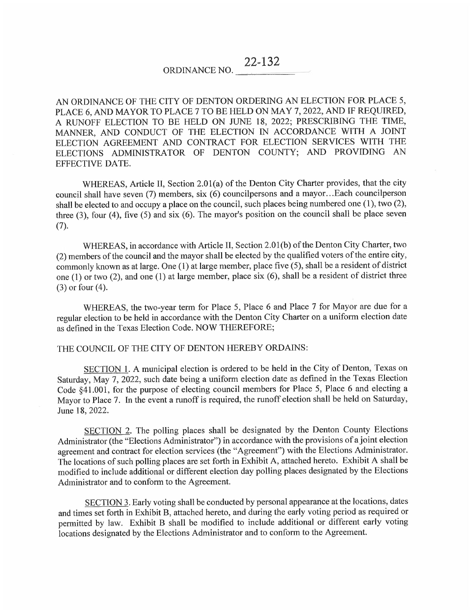ORDINANCE NO. 22-132

AN ORDINANCE OF THE CITY OF DENTON ORDERING AN ELECTION FOR PLACE 5. PLACE 6, AND MAYOR TO PLACE 7 TO BE HELD ON MAY 7, 2022, AND IF REQUIRED, A RUNOFF ELECTION TO BE HELD ON JUNE 18, 2022; PRESCRIBiNG THE TIME, MANNER, AND CONDUCT OF THE ELECTION IN ACCORDANCE WITH A JOINT ELECTION AGREEMENT AND CONTRACT FOR ELECTION SERVICES WITH THE ELECTIONS ADMINISTRATOR OF DENTON COUNTY; AND PROVIDING AN EFFECTIVE DATE.

WHEREAS, Article 11, Section 2.01(a) of the Denton City Charter provides, that the city council shall have seven (7) members, six (6) councilpersons and a mayor...Each councilperson shall be elected to and occupy a place on the council, such places being numbered one (1 ), two (2), three (3), four (4), five (5) and six (6). The mayor's position on the council shall be place seven  $(7).$ 

WHEREAS, in accordance with Article 11, Section 2.01 (b) of the Denton City Charter, two (2) members of the council and the mayor shall be elected by the qualified voters of the entire city, commonly known as at large. One (1) at large member, place five (5), shall be a resident of district one (1) or two (2), and one (1) at large member, place six (6), shall be a resident of district three (3) or four (4).

WHEREAS, the two-year term for Place 5, Place 6 and Place 7 for Mayor are due for a regular election to be held in accordance with the Denton City Charter on a uniform election date as defined in the Texas Election Code. NOW THEREFORE;

#### THE COUNCIL OF THE CITY OF DENTON HEREBY ORDAINS:

SECTION 1. A municipal election is ordered to be held in the City of Denton, Texas on Saturday, May 7, 2022, such date being a uniform election date as defined in the Texas Election Code §41.001, for the purpose of electing council members for Place 5, Place 6 and electing a Mayor to Place 7. In the event a runoff is required, the runoff election shall be held on Saturday, June 18, 2022.

SECTION 2. The polling places shall be designated by the Denton County Elections Administrator (the "Elections Administrator") in accordance with the provisions of a joint election agreement and contract for election services (the "Agreement") with the Elections Administrator. The locations of such polling places are set forth in Exhibit A, attached hereto. Exhibit A shall be modified to include additional or different election day polling places designated by the Elections Administrator and to conform to the Agreement.

SECTION 3. Early voting shall be conducted by personal appearance at the locations, dates and times set forth in Exhibit B, attached hereto, and during the early voting period as required or permitted by law. Exhibit B shall be modified to include additional or different early voting locations designated by the Elections Administrator and to conform to the Agreement.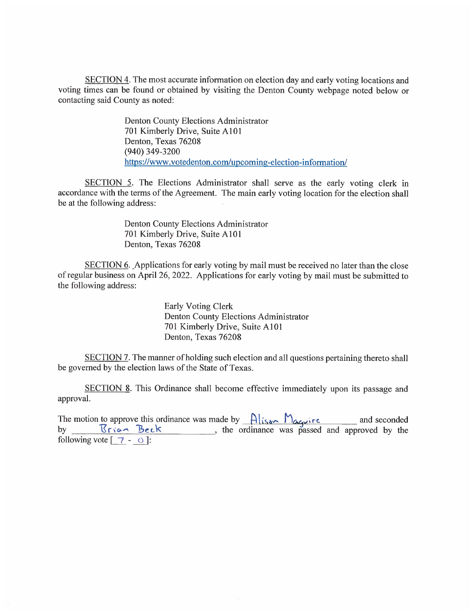SECTION 4. The most accurate information on election day and early voting locations and voting times can be found or obtained by visiting the Denton County webpage noted below or contacting said County as noted:

> Denton County Elections Administrator 701 Kimberly Drive, Suite A101 Denton, Texas 76208 (940) 349-3200 https://www .votedenton.com/upcoming-election-information/

SECTION 5. The Elections Administrator shall serve as the early voting clerk in accordance with the terms of the Agreement. The main early voting location for the election shall be at the following address :

> Denton County Elections Administrator 701 Kimberly Drive, Suite A101 Denton, Texas 76208

SECTION 6. Applications for early voting by mail must be received no later than the close of regular business on April 26, 2022. Applications for early voting by mail must be submitted to the following address:

> Early Voting Clerk Denton County Elections Administrator 701 Kimberly Drive, Suite A101 Denton, Texas 76208

SECTION 7. The manner of holding such election and all questions pertaining thereto shall be governed by the election laws of the State of Texas.

SECTION 8. This Ordinance shall become effective immediately upon its passage and approval.

The motion to approve this ordinance was made by  $\frac{\text{Also}}{\text{Again}}\frac{\text{Area}}{\text{base}}$  and seconded by  $\frac{\text{Area}}{\text{triangle}}$  is the ordinance was passed and approved by the following vote  $\lceil 7 - \circ \cdot \rceil$ :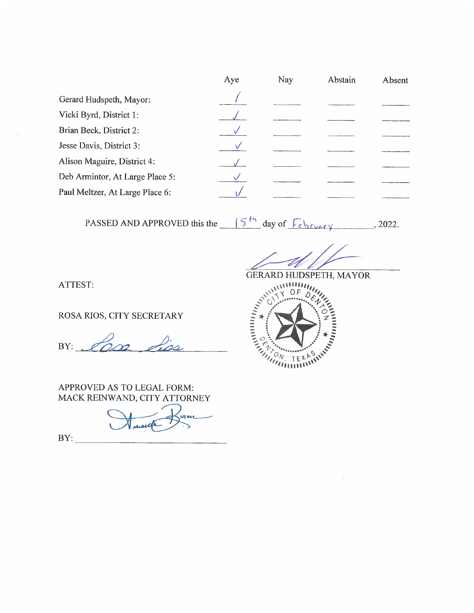|                                 | Aye | Nav | Abstain | Absent |
|---------------------------------|-----|-----|---------|--------|
| Gerard Hudspeth, Mayor:         |     |     |         |        |
| Vicki Byrd, District 1:         |     |     |         |        |
| Brian Beck, District 2:         |     |     |         |        |
| Jesse Davis, District 3:        |     |     |         |        |
| Alison Maguire, District 4:     |     |     |         |        |
| Deb Armintor, At Large Place 5: |     |     |         |        |
| Paul Meltzer, At Large Place 6: |     |     |         |        |
|                                 |     |     |         |        |

PASSED AND APPROVED this the  $(5<sup>th</sup>$  day of  $\sqrt{6 \text{logry}}$ , 2022.

**GERARD HUDSPETH, MAYOR** 

ATTEST:

ROSA RIOS, CITY SECRETARY

BY:  $\mathscr{L}_{\Omega}$ 

APPROVED AS TO LEGAL FORM: MACK REINWAND, CITY ATTORNEY

 $BY:$ 

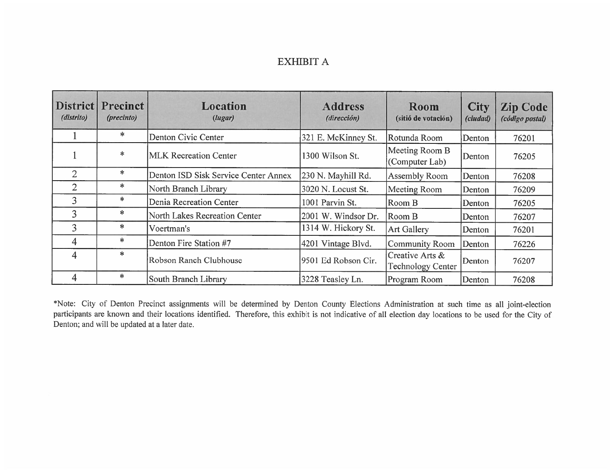## **EXHIBIT A**

| (distrito)     | <b>District Precinct</b><br>(precinto) | Location<br>(lugar)                  | <b>Address</b><br>(dirección) | Room<br>(sitió de votación)                 | <b>City</b><br>(ciudad) | <b>Zip Code</b><br>(código postal) |
|----------------|----------------------------------------|--------------------------------------|-------------------------------|---------------------------------------------|-------------------------|------------------------------------|
|                | $\ast$                                 | Denton Civic Center                  | 321 E. McKinney St.           | Rotunda Room                                | Denton                  | 76201                              |
|                | $\ast$                                 | <b>MLK Recreation Center</b>         | 1300 Wilson St.               | Meeting Room B<br>(Computer Lab)            | Denton                  | 76205                              |
| $\overline{2}$ | $\ast$                                 | Denton ISD Sisk Service Center Annex | 230 N. Mayhill Rd.            | Assembly Room                               | Denton                  | 76208                              |
| $\overline{2}$ | $\ast$                                 | North Branch Library                 | 3020 N. Locust St.            | Meeting Room                                | Denton                  | 76209                              |
| 3              | *                                      | Denia Recreation Center              | 1001 Parvin St.               | Room B                                      | Denton                  | 76205                              |
| 3              | ∗                                      | North Lakes Recreation Center        | 2001 W. Windsor Dr.           | Room B                                      | Denton                  | 76207                              |
| 3              | $\ast$                                 | Voertman's                           | 1314 W. Hickory St.           | <b>Art Gallery</b>                          | Denton                  | 76201                              |
| 4              | $\ast$                                 | Denton Fire Station #7               | 4201 Vintage Blvd.            | <b>Community Room</b>                       | Denton                  | 76226                              |
| 4              | $\ast$                                 | Robson Ranch Clubhouse               | 9501 Ed Robson Cir.           | Creative Arts &<br><b>Technology Center</b> | Denton                  | 76207                              |
| 4              | $\ast$                                 | South Branch Library                 | 3228 Teasley Ln.              | Program Room                                | Denton                  | 76208                              |

\*Note: City of Denton Precinct assignments will be determined by Denton County Elections Administration at such time as all joint-election participants are known and their locations identified. Therefore, this exhibit is not indicative of all election day locations to be used for the City of Denton; and will be updated at a later date.